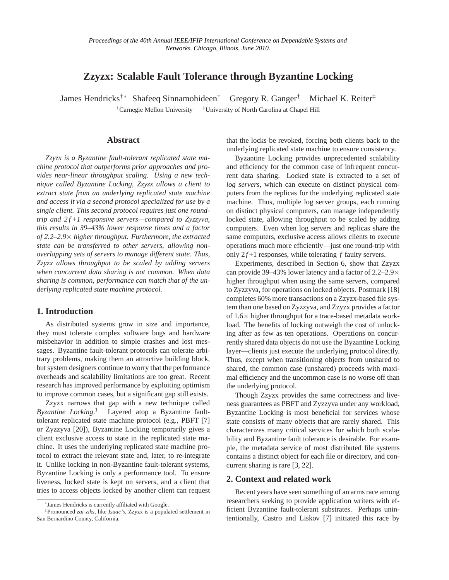# **Zzyzx: Scalable Fault Tolerance through Byzantine Locking**

James Hendricks†<sup>∗</sup> Shafeeq Sinnamohideen† Gregory R. Ganger† Michael K. Reiter‡ †Carnegie Mellon University ‡University of North Carolina at Chapel Hill

## **Abstract**

*Zzyzx is a Byzantine fault-tolerant replicated state machine protocol that outperforms prior approaches and provides near-linear throughput scaling. Using a new technique called Byzantine Locking, Zzyzx allows a client to extract state from an underlying replicated state machine and access it via a second protocol specialized for use by a single client. This second protocol requires just one roundtrip and 2 f +1 responsive servers—compared to Zyzzyva, this results in 39–43% lower response times and a factor of 2.2–2.9*× *higher throughput. Furthermore, the extracted state can be transferred to other servers, allowing nonoverlapping sets of servers to manage different state. Thus, Zzyzx allows throughput to be scaled by adding servers when concurrent data sharing is not common. When data sharing is common, performance can match that of the underlying replicated state machine protocol.*

#### **1. Introduction**

As distributed systems grow in size and importance, they must tolerate complex software bugs and hardware misbehavior in addition to simple crashes and lost messages. Byzantine fault-tolerant protocols can tolerate arbitrary problems, making them an attractive building block, but system designers continue to worry that the performance overheads and scalability limitations are too great. Recent research has improved performance by exploiting optimism to improve common cases, but a significant gap still exists.

Zzyzx narrows that gap with a new technique called *Byzantine Locking*. [1](#page-0-0) Layered atop a Byzantine faulttolerant replicated state machine protocol (e.g., PBFT [\[7\]](#page--1-0) or Zyzzyva [\[20\]](#page--1-1)), Byzantine Locking temporarily gives a client exclusive access to state in the replicated state machine. It uses the underlying replicated state machine protocol to extract the relevant state and, later, to re-integrate it. Unlike locking in non-Byzantine fault-tolerant systems, Byzantine Locking is only a performance tool. To ensure liveness, locked state is kept on servers, and a client that tries to access objects locked by another client can request that the locks be revoked, forcing both clients back to the underlying replicated state machine to ensure consistency.

Byzantine Locking provides unprecedented scalability and efficiency for the common case of infrequent concurrent data sharing. Locked state is extracted to a set of *log servers*, which can execute on distinct physical computers from the replicas for the underlying replicated state machine. Thus, multiple log server groups, each running on distinct physical computers, can manage independently locked state, allowing throughput to be scaled by adding computers. Even when log servers and replicas share the same computers, exclusive access allows clients to execute operations much more efficiently—just one round-trip with only  $2f+1$  responses, while tolerating  $f$  faulty servers.

Experiments, described in Section [6,](#page--1-2) show that Zzyzx can provide 39–43% lower latency and a factor of  $2.2-2.9\times$ higher throughput when using the same servers, compared to Zyzzyva, for operations on locked objects. Postmark [\[18\]](#page--1-3) completes 60% more transactions on a Zzyzx-based file system than one based on Zyzzyva, and Zzyzx provides a factor of 1.6× higher throughput for a trace-based metadata workload. The benefits of locking outweigh the cost of unlocking after as few as ten operations. Operations on concurrently shared data objects do not use the Byzantine Locking layer—clients just execute the underlying protocol directly. Thus, except when transitioning objects from unshared to shared, the common case (unshared) proceeds with maximal efficiency and the uncommon case is no worse off than the underlying protocol.

Though Zzyzx provides the same correctness and liveness guarantees as PBFT and Zyzzyva under any workload, Byzantine Locking is most beneficial for services whose state consists of many objects that are rarely shared. This characterizes many critical services for which both scalability and Byzantine fault tolerance is desirable. For example, the metadata service of most distributed file systems contains a distinct object for each file or directory, and concurrent sharing is rare [\[3,](#page--1-4) [22\]](#page--1-5).

#### **2. Context and related work**

Recent years have seen something of an arms race among researchers seeking to provide application writers with efficient Byzantine fault-tolerant substrates. Perhaps unintentionally, Castro and Liskov [\[7\]](#page--1-0) initiated this race by

<sup>∗</sup> James Hendricks is currently affiliated with Google.

<span id="page-0-0"></span><sup>1</sup>Pronounced *zai-ziks*, like *Isaac's,* Zzyzx is a populated settlement in San Bernardino County, California.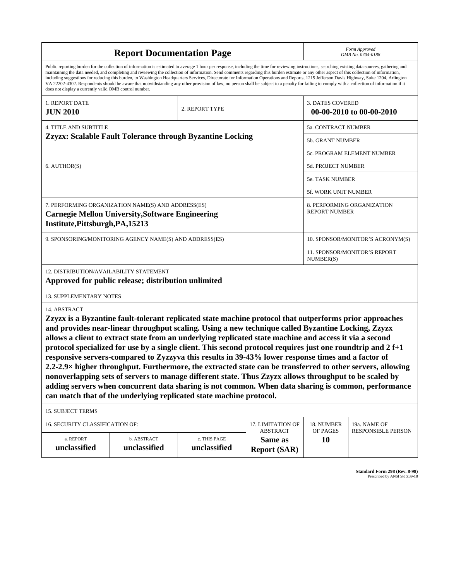| maintaining the data needed, and completing and reviewing the collection of information. Send comments regarding this burden estimate or any other aspect of this collection of information,<br>does not display a currently valid OMB control number.<br><b>3. DATES COVERED</b><br>1. REPORT DATE<br>2. REPORT TYPE<br><b>JUN 2010</b><br>00-00-2010 to 00-00-2010<br><b>4. TITLE AND SUBTITLE</b><br>5a. CONTRACT NUMBER<br>Zzyzx: Scalable Fault Tolerance through Byzantine Locking<br>5b. GRANT NUMBER<br>5c. PROGRAM ELEMENT NUMBER<br>6. AUTHOR(S)<br><b>5d. PROJECT NUMBER</b><br>5e. TASK NUMBER<br>5f. WORK UNIT NUMBER<br>7. PERFORMING ORGANIZATION NAME(S) AND ADDRESS(ES)<br>8. PERFORMING ORGANIZATION<br><b>REPORT NUMBER</b><br><b>Carnegie Mellon University, Software Engineering</b><br>Institute, Pittsburgh, PA, 15213<br>9. SPONSORING/MONITORING AGENCY NAME(S) AND ADDRESS(ES)<br>11. SPONSOR/MONITOR'S REPORT<br>NUMBER(S)<br>12. DISTRIBUTION/AVAILABILITY STATEMENT<br>Approved for public release; distribution unlimited<br>13. SUPPLEMENTARY NOTES<br>14. ABSTRACT<br>Zzyzx is a Byzantine fault-tolerant replicated state machine protocol that outperforms prior approaches<br>and provides near-linear throughput scaling. Using a new technique called Byzantine Locking, Zzyzx<br>allows a client to extract state from an underlying replicated state machine and access it via a second<br>protocol specialized for use by a single client. This second protocol requires just one roundtrip and 2 f+1<br>responsive servers-compared to Zyzzyva this results in 39-43% lower response times and a factor of<br>2.2-2.9× higher throughput. Furthermore, the extracted state can be transferred to other servers, allowing<br>nonoverlapping sets of servers to manage different state. Thus Zzyzx allows throughput to be scaled by<br>adding servers when concurrent data sharing is not common. When data sharing is common, performance<br>can match that of the underlying replicated state machine protocol. |                                                                                                                                                                                                                                                                                                                                                                                                                                                                                                                                                                                                          | Form Approved<br>OMB No. 0704-0188 |  |                                  |  |                           |  |  |  |  |  |
|-----------------------------------------------------------------------------------------------------------------------------------------------------------------------------------------------------------------------------------------------------------------------------------------------------------------------------------------------------------------------------------------------------------------------------------------------------------------------------------------------------------------------------------------------------------------------------------------------------------------------------------------------------------------------------------------------------------------------------------------------------------------------------------------------------------------------------------------------------------------------------------------------------------------------------------------------------------------------------------------------------------------------------------------------------------------------------------------------------------------------------------------------------------------------------------------------------------------------------------------------------------------------------------------------------------------------------------------------------------------------------------------------------------------------------------------------------------------------------------------------------------------------------------------------------------------------------------------------------------------------------------------------------------------------------------------------------------------------------------------------------------------------------------------------------------------------------------------------------------------------------------------------------------------------------------------------------------------------------------------------------------------------------------------------------------|----------------------------------------------------------------------------------------------------------------------------------------------------------------------------------------------------------------------------------------------------------------------------------------------------------------------------------------------------------------------------------------------------------------------------------------------------------------------------------------------------------------------------------------------------------------------------------------------------------|------------------------------------|--|----------------------------------|--|---------------------------|--|--|--|--|--|
|                                                                                                                                                                                                                                                                                                                                                                                                                                                                                                                                                                                                                                                                                                                                                                                                                                                                                                                                                                                                                                                                                                                                                                                                                                                                                                                                                                                                                                                                                                                                                                                                                                                                                                                                                                                                                                                                                                                                                                                                                                                           | Public reporting burden for the collection of information is estimated to average 1 hour per response, including the time for reviewing instructions, searching existing data sources, gathering and<br>including suggestions for reducing this burden, to Washington Headquarters Services, Directorate for Information Operations and Reports, 1215 Jefferson Davis Highway, Suite 1204, Arlington<br>VA 22202-4302. Respondents should be aware that notwithstanding any other provision of law, no person shall be subject to a penalty for failing to comply with a collection of information if it |                                    |  |                                  |  |                           |  |  |  |  |  |
|                                                                                                                                                                                                                                                                                                                                                                                                                                                                                                                                                                                                                                                                                                                                                                                                                                                                                                                                                                                                                                                                                                                                                                                                                                                                                                                                                                                                                                                                                                                                                                                                                                                                                                                                                                                                                                                                                                                                                                                                                                                           |                                                                                                                                                                                                                                                                                                                                                                                                                                                                                                                                                                                                          |                                    |  |                                  |  |                           |  |  |  |  |  |
|                                                                                                                                                                                                                                                                                                                                                                                                                                                                                                                                                                                                                                                                                                                                                                                                                                                                                                                                                                                                                                                                                                                                                                                                                                                                                                                                                                                                                                                                                                                                                                                                                                                                                                                                                                                                                                                                                                                                                                                                                                                           |                                                                                                                                                                                                                                                                                                                                                                                                                                                                                                                                                                                                          |                                    |  |                                  |  |                           |  |  |  |  |  |
|                                                                                                                                                                                                                                                                                                                                                                                                                                                                                                                                                                                                                                                                                                                                                                                                                                                                                                                                                                                                                                                                                                                                                                                                                                                                                                                                                                                                                                                                                                                                                                                                                                                                                                                                                                                                                                                                                                                                                                                                                                                           |                                                                                                                                                                                                                                                                                                                                                                                                                                                                                                                                                                                                          |                                    |  |                                  |  |                           |  |  |  |  |  |
|                                                                                                                                                                                                                                                                                                                                                                                                                                                                                                                                                                                                                                                                                                                                                                                                                                                                                                                                                                                                                                                                                                                                                                                                                                                                                                                                                                                                                                                                                                                                                                                                                                                                                                                                                                                                                                                                                                                                                                                                                                                           |                                                                                                                                                                                                                                                                                                                                                                                                                                                                                                                                                                                                          |                                    |  |                                  |  |                           |  |  |  |  |  |
|                                                                                                                                                                                                                                                                                                                                                                                                                                                                                                                                                                                                                                                                                                                                                                                                                                                                                                                                                                                                                                                                                                                                                                                                                                                                                                                                                                                                                                                                                                                                                                                                                                                                                                                                                                                                                                                                                                                                                                                                                                                           |                                                                                                                                                                                                                                                                                                                                                                                                                                                                                                                                                                                                          |                                    |  |                                  |  |                           |  |  |  |  |  |
|                                                                                                                                                                                                                                                                                                                                                                                                                                                                                                                                                                                                                                                                                                                                                                                                                                                                                                                                                                                                                                                                                                                                                                                                                                                                                                                                                                                                                                                                                                                                                                                                                                                                                                                                                                                                                                                                                                                                                                                                                                                           |                                                                                                                                                                                                                                                                                                                                                                                                                                                                                                                                                                                                          |                                    |  |                                  |  |                           |  |  |  |  |  |
|                                                                                                                                                                                                                                                                                                                                                                                                                                                                                                                                                                                                                                                                                                                                                                                                                                                                                                                                                                                                                                                                                                                                                                                                                                                                                                                                                                                                                                                                                                                                                                                                                                                                                                                                                                                                                                                                                                                                                                                                                                                           |                                                                                                                                                                                                                                                                                                                                                                                                                                                                                                                                                                                                          |                                    |  |                                  |  |                           |  |  |  |  |  |
|                                                                                                                                                                                                                                                                                                                                                                                                                                                                                                                                                                                                                                                                                                                                                                                                                                                                                                                                                                                                                                                                                                                                                                                                                                                                                                                                                                                                                                                                                                                                                                                                                                                                                                                                                                                                                                                                                                                                                                                                                                                           |                                                                                                                                                                                                                                                                                                                                                                                                                                                                                                                                                                                                          |                                    |  |                                  |  |                           |  |  |  |  |  |
|                                                                                                                                                                                                                                                                                                                                                                                                                                                                                                                                                                                                                                                                                                                                                                                                                                                                                                                                                                                                                                                                                                                                                                                                                                                                                                                                                                                                                                                                                                                                                                                                                                                                                                                                                                                                                                                                                                                                                                                                                                                           |                                                                                                                                                                                                                                                                                                                                                                                                                                                                                                                                                                                                          |                                    |  | 10. SPONSOR/MONITOR'S ACRONYM(S) |  |                           |  |  |  |  |  |
|                                                                                                                                                                                                                                                                                                                                                                                                                                                                                                                                                                                                                                                                                                                                                                                                                                                                                                                                                                                                                                                                                                                                                                                                                                                                                                                                                                                                                                                                                                                                                                                                                                                                                                                                                                                                                                                                                                                                                                                                                                                           |                                                                                                                                                                                                                                                                                                                                                                                                                                                                                                                                                                                                          |                                    |  |                                  |  |                           |  |  |  |  |  |
|                                                                                                                                                                                                                                                                                                                                                                                                                                                                                                                                                                                                                                                                                                                                                                                                                                                                                                                                                                                                                                                                                                                                                                                                                                                                                                                                                                                                                                                                                                                                                                                                                                                                                                                                                                                                                                                                                                                                                                                                                                                           |                                                                                                                                                                                                                                                                                                                                                                                                                                                                                                                                                                                                          |                                    |  |                                  |  |                           |  |  |  |  |  |
|                                                                                                                                                                                                                                                                                                                                                                                                                                                                                                                                                                                                                                                                                                                                                                                                                                                                                                                                                                                                                                                                                                                                                                                                                                                                                                                                                                                                                                                                                                                                                                                                                                                                                                                                                                                                                                                                                                                                                                                                                                                           |                                                                                                                                                                                                                                                                                                                                                                                                                                                                                                                                                                                                          |                                    |  |                                  |  |                           |  |  |  |  |  |
|                                                                                                                                                                                                                                                                                                                                                                                                                                                                                                                                                                                                                                                                                                                                                                                                                                                                                                                                                                                                                                                                                                                                                                                                                                                                                                                                                                                                                                                                                                                                                                                                                                                                                                                                                                                                                                                                                                                                                                                                                                                           |                                                                                                                                                                                                                                                                                                                                                                                                                                                                                                                                                                                                          |                                    |  |                                  |  |                           |  |  |  |  |  |
|                                                                                                                                                                                                                                                                                                                                                                                                                                                                                                                                                                                                                                                                                                                                                                                                                                                                                                                                                                                                                                                                                                                                                                                                                                                                                                                                                                                                                                                                                                                                                                                                                                                                                                                                                                                                                                                                                                                                                                                                                                                           | <b>15. SUBJECT TERMS</b>                                                                                                                                                                                                                                                                                                                                                                                                                                                                                                                                                                                 |                                    |  |                                  |  |                           |  |  |  |  |  |
| 16. SECURITY CLASSIFICATION OF:<br><b>17. LIMITATION OF</b><br>18. NUMBER<br>19a. NAME OF<br><b>ABSTRACT</b><br>OF PAGES                                                                                                                                                                                                                                                                                                                                                                                                                                                                                                                                                                                                                                                                                                                                                                                                                                                                                                                                                                                                                                                                                                                                                                                                                                                                                                                                                                                                                                                                                                                                                                                                                                                                                                                                                                                                                                                                                                                                  |                                                                                                                                                                                                                                                                                                                                                                                                                                                                                                                                                                                                          |                                    |  |                                  |  |                           |  |  |  |  |  |
| a. REPORT<br>b. ABSTRACT<br>c. THIS PAGE<br><b>10</b><br>Same as<br>unclassified<br>unclassified<br>unclassified<br><b>Report (SAR)</b>                                                                                                                                                                                                                                                                                                                                                                                                                                                                                                                                                                                                                                                                                                                                                                                                                                                                                                                                                                                                                                                                                                                                                                                                                                                                                                                                                                                                                                                                                                                                                                                                                                                                                                                                                                                                                                                                                                                   |                                                                                                                                                                                                                                                                                                                                                                                                                                                                                                                                                                                                          |                                    |  |                                  |  | <b>RESPONSIBLE PERSON</b> |  |  |  |  |  |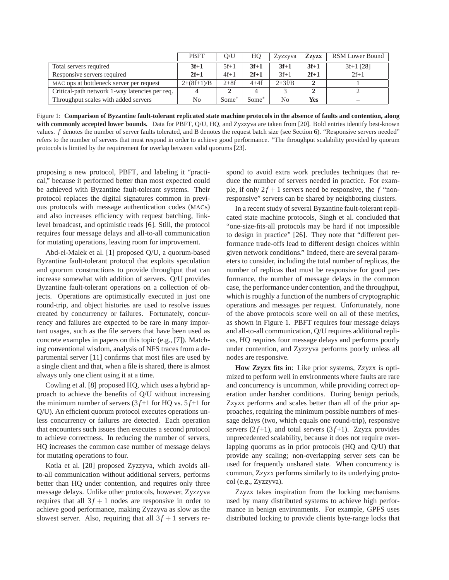<span id="page-2-0"></span>

|                                                | <b>PBFT</b>    | O/U     | HO             | Zyzzyva  | <b>Zzvzx</b> | RSM Lower Bound |
|------------------------------------------------|----------------|---------|----------------|----------|--------------|-----------------|
| Total servers required                         | $3f+1$         | $5f+1$  | $3f+1$         | $3f+1$   | $3f+1$       | $3f+1$ [28]     |
| Responsive servers required                    | $2f+1$         | $4f+1$  | $2f+1$         | $3f+1$   | $2f+1$       | $2f+1$          |
| MAC ops at bottleneck server per request       | $2+(8f+1)/B$   | $2+8f$  | $4+4f$         | $2+3f/B$ |              |                 |
| Critical-path network 1-way latencies per req. | $\overline{4}$ |         | $\overline{4}$ |          |              |                 |
| Throughput scales with added servers           | N <sub>0</sub> | $Some*$ | $Some*$        | No       | <b>Yes</b>   | _               |

Figure 1: **Comparison of Byzantine fault-tolerant replicated state machine protocols in the absence of faults and contention, along with commonly accepted lower bounds.** Data for PBFT, Q/U, HQ, and Zyzzyva are taken from [\[20\]](#page-10-1). Bold entries identify best-known values. *f* denotes the number of server faults tolerated, and B denotes the request batch size (see Section [6\)](#page-7-0). "Responsive servers needed" refers to the number of servers that must respond in order to achieve good performance. <sup>∗</sup>The throughput scalability provided by quorum protocols is limited by the requirement for overlap between valid quorums [\[23\]](#page-10-2).

proposing a new protocol, PBFT, and labeling it "practical," because it performed better than most expected could be achieved with Byzantine fault-tolerant systems. Their protocol replaces the digital signatures common in previous protocols with message authentication codes (MACs) and also increases efficiency with request batching, linklevel broadcast, and optimistic reads [\[6\]](#page-10-3). Still, the protocol requires four message delays and all-to-all communication for mutating operations, leaving room for improvement.

Abd-el-Malek et al. [\[1\]](#page-10-4) proposed Q/U, a quorum-based Byzantine fault-tolerant protocol that exploits speculation and quorum constructions to provide throughput that can increase somewhat with addition of servers. Q/U provides Byzantine fault-tolerant operations on a collection of objects. Operations are optimistically executed in just one round-trip, and object histories are used to resolve issues created by concurrency or failures. Fortunately, concurrency and failures are expected to be rare in many important usages, such as the file servers that have been used as concrete examples in papers on this topic (e.g., [\[7\]](#page-10-5)). Matching conventional wisdom, analysis of NFS traces from a departmental server [\[11\]](#page-10-6) confirms that most files are used by a single client and that, when a file is shared, there is almost always only one client using it at a time.

Cowling et al. [\[8\]](#page-10-7) proposed HQ, which uses a hybrid approach to achieve the benefits of Q/U without increasing the minimum number of servers  $(3f+1$  for HQ vs.  $5f+1$  for Q/U). An efficient quorum protocol executes operations unless concurrency or failures are detected. Each operation that encounters such issues then executes a second protocol to achieve correctness. In reducing the number of servers, HQ increases the common case number of message delays for mutating operations to four.

Kotla et al. [\[20\]](#page-10-1) proposed Zyzzyva, which avoids allto-all communication without additional servers, performs better than HQ under contention, and requires only three message delays. Unlike other protocols, however, Zyzzyva requires that all  $3f + 1$  nodes are responsive in order to achieve good performance, making Zyzzyva as slow as the slowest server. Also, requiring that all  $3f + 1$  servers respond to avoid extra work precludes techniques that reduce the number of servers needed in practice. For example, if only  $2f + 1$  servers need be responsive, the *f* "nonresponsive" servers can be shared by neighboring clusters.

In a recent study of several Byzantine fault-tolerant replicated state machine protocols, Singh et al. concluded that "one-size-fits-all protocols may be hard if not impossible to design in practice" [\[26\]](#page-10-8). They note that "different performance trade-offs lead to different design choices within given network conditions." Indeed, there are several parameters to consider, including the total number of replicas, the number of replicas that must be responsive for good performance, the number of message delays in the common case, the performance under contention, and the throughput, which is roughly a function of the numbers of cryptographic operations and messages per request. Unfortunately, none of the above protocols score well on all of these metrics, as shown in Figure [1.](#page-2-0) PBFT requires four message delays and all-to-all communication, Q/U requires additional replicas, HQ requires four message delays and performs poorly under contention, and Zyzzyva performs poorly unless all nodes are responsive.

**How Zzyzx fits in**: Like prior systems, Zzyzx is optimized to perform well in environments where faults are rare and concurrency is uncommon, while providing correct operation under harsher conditions. During benign periods, Zzyzx performs and scales better than all of the prior approaches, requiring the minimum possible numbers of message delays (two, which equals one round-trip), responsive servers  $(2f+1)$ , and total servers  $(3f+1)$ . Zzyzx provides unprecedented scalability, because it does not require overlapping quorums as in prior protocols (HQ and Q/U) that provide any scaling; non-overlapping server sets can be used for frequently unshared state. When concurrency is common, Zzyzx performs similarly to its underlying protocol (e.g., Zyzzyva).

Zzyzx takes inspiration from the locking mechanisms used by many distributed systems to achieve high performance in benign environments. For example, GPFS uses distributed locking to provide clients byte-range locks that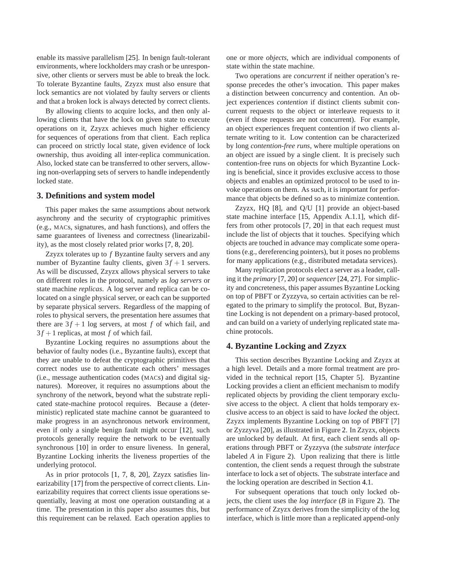enable its massive parallelism [\[25\]](#page-10-9). In benign fault-tolerant environments, where lockholders may crash or be unresponsive, other clients or servers must be able to break the lock. To tolerate Byzantine faults, Zzyzx must also ensure that lock semantics are not violated by faulty servers or clients and that a broken lock is always detected by correct clients.

By allowing clients to acquire locks, and then only allowing clients that have the lock on given state to execute operations on it, Zzyzx achieves much higher efficiency for sequences of operations from that client. Each replica can proceed on strictly local state, given evidence of lock ownership, thus avoiding all inter-replica communication. Also, locked state can be transferred to other servers, allowing non-overlapping sets of servers to handle independently locked state.

#### **3. Definitions and system model**

This paper makes the same assumptions about network asynchrony and the security of cryptographic primitives (e.g., MACs, signatures, and hash functions), and offers the same guarantees of liveness and correctness (linearizability), as the most closely related prior works [\[7,](#page-10-5) [8,](#page-10-7) [20\]](#page-10-1).

Zzyzx tolerates up to *f* Byzantine faulty servers and any number of Byzantine faulty clients, given  $3f + 1$  servers. As will be discussed, Zzyzx allows physical servers to take on different roles in the protocol, namely as *log servers* or state machine *replicas*. A log server and replica can be colocated on a single physical server, or each can be supported by separate physical servers. Regardless of the mapping of roles to physical servers, the presentation here assumes that there are  $3f + 1$  log servers, at most f of which fail, and  $3f + 1$  replicas, at most f of which fail.

Byzantine Locking requires no assumptions about the behavior of faulty nodes (i.e., Byzantine faults), except that they are unable to defeat the cryptographic primitives that correct nodes use to authenticate each others' messages (i.e., message authentication codes (MACs) and digital signatures). Moreover, it requires no assumptions about the synchrony of the network, beyond what the substrate replicated state-machine protocol requires. Because a (deterministic) replicated state machine cannot be guaranteed to make progress in an asynchronous network environment, even if only a single benign fault might occur [\[12\]](#page-10-10), such protocols generally require the network to be eventually synchronous [\[10\]](#page-10-11) in order to ensure liveness. In general, Byzantine Locking inherits the liveness properties of the underlying protocol.

As in prior protocols [\[1,](#page-10-4) [7,](#page-10-5) [8,](#page-10-7) [20\]](#page-10-1), Zzyzx satisfies linearizability [\[17\]](#page-10-12) from the perspective of correct clients. Linearizability requires that correct clients issue operations sequentially, leaving at most one operation outstanding at a time. The presentation in this paper also assumes this, but this requirement can be relaxed. Each operation applies to one or more *objects*, which are individual components of state within the state machine.

Two operations are *concurrent* if neither operation's response precedes the other's invocation. This paper makes a distinction between concurrency and contention. An object experiences *contention* if distinct clients submit concurrent requests to the object or interleave requests to it (even if those requests are not concurrent). For example, an object experiences frequent contention if two clients alternate writing to it. Low contention can be characterized by long *contention-free runs*, where multiple operations on an object are issued by a single client. It is precisely such contention-free runs on objects for which Byzantine Locking is beneficial, since it provides exclusive access to those objects and enables an optimized protocol to be used to invoke operations on them. As such, it is important for performance that objects be defined so as to minimize contention.

Zzyzx, HQ [\[8\]](#page-10-7), and Q/U [\[1\]](#page-10-4) provide an object-based state machine interface [\[15,](#page-10-13) Appendix A.1.1], which differs from other protocols [\[7,](#page-10-5) [20\]](#page-10-1) in that each request must include the list of objects that it touches. Specifying which objects are touched in advance may complicate some operations (e.g., dereferencing pointers), but it poses no problems for many applications (e.g., distributed metadata services).

Many replication protocols elect a server as a leader, calling it the *primary* [\[7,](#page-10-5) [20\]](#page-10-1) or *sequencer* [\[24,](#page-10-14) [27\]](#page-10-15). For simplicity and concreteness, this paper assumes Byzantine Locking on top of PBFT or Zyzzyva, so certain activities can be relegated to the primary to simplify the protocol. But, Byzantine Locking is not dependent on a primary-based protocol, and can build on a variety of underlying replicated state machine protocols.

## <span id="page-3-0"></span>**4. Byzantine Locking and Zzyzx**

This section describes Byzantine Locking and Zzyzx at a high level. Details and a more formal treatment are provided in the technical report [\[15,](#page-10-13) Chapter 5]. Byzantine Locking provides a client an efficient mechanism to modify replicated objects by providing the client temporary exclusive access to the object. A client that holds temporary exclusive access to an object is said to have *locked* the object. Zzyzx implements Byzantine Locking on top of PBFT [\[7\]](#page-10-5) or Zyzzyva [\[20\]](#page-10-1), as illustrated in Figure [2.](#page-4-0) In Zzyzx, objects are unlocked by default. At first, each client sends all operations through PBFT or Zyzzyva (the *substrate interface* labeled *A* in Figure [2\)](#page-4-0). Upon realizing that there is little contention, the client sends a request through the substrate interface to lock a set of objects. The substrate interface and the locking operation are described in Section [4.1.](#page-4-1)

For subsequent operations that touch only locked objects, the client uses the *log interface* (*B* in Figure [2\)](#page-4-0). The performance of Zzyzx derives from the simplicity of the log interface, which is little more than a replicated append-only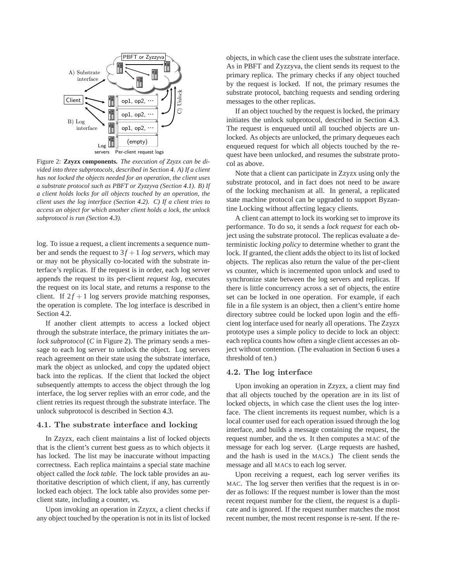<span id="page-4-0"></span>

Figure 2: **Zzyzx components.** *The execution of Zzyzx can be divided into three subprotocols, described in Section [4.](#page-3-0) A) If a client has not locked the objects needed for an operation, the client uses a substrate protocol such as PBFT or Zyzzyva (Section [4.1\)](#page-4-1). B) If a client holds locks for all objects touched by an operation, the client uses the log interface (Section [4.2\)](#page-4-2). C) If a client tries to access an object for which another client holds a lock, the unlock subprotocol is run (Section [4.3\)](#page-5-0).*

log. To issue a request, a client increments a sequence number and sends the request to  $3f + 1 \log$  servers, which may or may not be physically co-located with the substrate interface's replicas. If the request is in order, each log server appends the request to its per-client *request log*, executes the request on its local state, and returns a response to the client. If  $2f + 1$  log servers provide matching responses, the operation is complete. The log interface is described in Section [4.2.](#page-4-2)

If another client attempts to access a locked object through the substrate interface, the primary initiates the *unlock subprotocol* (*C* in Figure [2\)](#page-4-0). The primary sends a message to each log server to unlock the object. Log servers reach agreement on their state using the substrate interface, mark the object as unlocked, and copy the updated object back into the replicas. If the client that locked the object subsequently attempts to access the object through the log interface, the log server replies with an error code, and the client retries its request through the substrate interface. The unlock subprotocol is described in Section [4.3.](#page-5-0)

#### <span id="page-4-1"></span>4.1. The substrate interface and locking

In Zzyzx, each client maintains a list of locked objects that is the client's current best guess as to which objects it has locked. The list may be inaccurate without impacting correctness. Each replica maintains a special state machine object called the *lock table*. The lock table provides an authoritative description of which client, if any, has currently locked each object. The lock table also provides some perclient state, including a counter, vs.

Upon invoking an operation in Zzyzx, a client checks if any object touched by the operation is not in its list of locked

objects, in which case the client uses the substrate interface. As in PBFT and Zyzzyva, the client sends its request to the primary replica. The primary checks if any object touched by the request is locked. If not, the primary resumes the substrate protocol, batching requests and sending ordering messages to the other replicas.

If an object touched by the request is locked, the primary initiates the unlock subprotocol, described in Section [4.3.](#page-5-0) The request is enqueued until all touched objects are unlocked. As objects are unlocked, the primary dequeues each enqueued request for which all objects touched by the request have been unlocked, and resumes the substrate protocol as above.

Note that a client can participate in Zzyzx using only the substrate protocol, and in fact does not need to be aware of the locking mechanism at all. In general, a replicated state machine protocol can be upgraded to support Byzantine Locking without affecting legacy clients.

A client can attempt to lock its working set to improve its performance. To do so, it sends a *lock request* for each object using the substrate protocol. The replicas evaluate a deterministic *locking policy* to determine whether to grant the lock. If granted, the client adds the object to its list of locked objects. The replicas also return the value of the per-client vs counter, which is incremented upon unlock and used to synchronize state between the log servers and replicas. If there is little concurrency across a set of objects, the entire set can be locked in one operation. For example, if each file in a file system is an object, then a client's entire home directory subtree could be locked upon login and the efficient log interface used for nearly all operations. The Zzyzx prototype uses a simple policy to decide to lock an object: each replica counts how often a single client accesses an object without contention. (The evaluation in Section [6](#page-7-0) uses a threshold of ten.)

#### <span id="page-4-2"></span>4.2. The log interface

Upon invoking an operation in Zzyzx, a client may find that all objects touched by the operation are in its list of locked objects, in which case the client uses the log interface. The client increments its request number, which is a local counter used for each operation issued through the log interface, and builds a message containing the request, the request number, and the vs. It then computes a MAC of the message for each log server. (Large requests are hashed, and the hash is used in the MACs.) The client sends the message and all MACs to each log server.

Upon receiving a request, each log server verifies its MAC. The log server then verifies that the request is in order as follows: If the request number is lower than the most recent request number for the client, the request is a duplicate and is ignored. If the request number matches the most recent number, the most recent response is re-sent. If the re-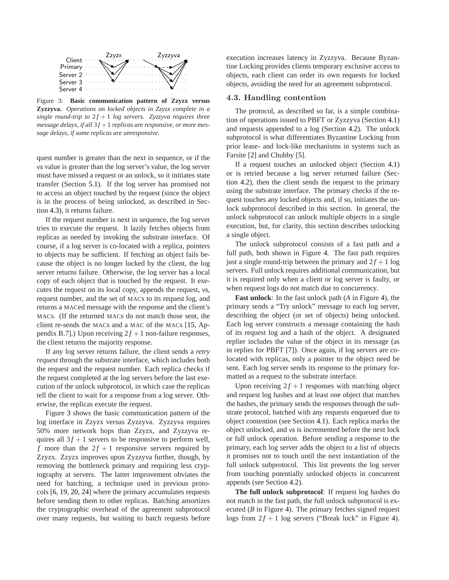<span id="page-5-1"></span>

Figure 3: **Basic communication pattern of Zzyzx versus Zyzzyva.** *Operations on locked objects in Zzyzx complete in a single round-trip to*  $2f + 1$  *log servers. Zyzzyva requires three message delays, if all*  $3f + 1$  *replicas are responsive, or more message delays, if some replicas are unresponsive.*

quest number is greater than the next in sequence, or if the vs value is greater than the log server's value, the log server must have missed a request or an unlock, so it initiates state transfer (Section [5.1\)](#page-6-0). If the log server has promised not to access an object touched by the request (since the object is in the process of being unlocked, as described in Section [4.3\)](#page-5-0), it returns failure.

If the request number is next in sequence, the log server tries to execute the request. It lazily fetches objects from replicas as needed by invoking the substrate interface. Of course, if a log server is co-located with a replica, pointers to objects may be sufficient. If fetching an object fails because the object is no longer locked by the client, the log server returns failure. Otherwise, the log server has a local copy of each object that is touched by the request. It executes the request on its local copy, appends the request, vs, request number, and the set of MACs to its request log, and returns a MACed message with the response and the client's MACs. (If the returned MACs do not match those sent, the client re-sends the MACs and a MAC of the MACs [\[15,](#page-10-13) Appendix B.7].) Upon receiving  $2f + 1$  non-failure responses, the client returns the majority response.

If any log server returns failure, the client sends a *retry request* through the substrate interface, which includes both the request and the request number. Each replica checks if the request completed at the log servers before the last execution of the unlock subprotocol, in which case the replicas tell the client to wait for a response from a log server. Otherwise, the replicas execute the request.

Figure [3](#page-5-1) shows the basic communication pattern of the log interface in Zzyzx versus Zyzzyva. Zyzzyva requires 50% more network hops than Zzyzx, and Zyzzyva requires all  $3f + 1$  servers to be responsive to perform well, *f* more than the  $2f + 1$  responsive servers required by Zzyzx. Zzyzx improves upon Zyzzyva further, though, by removing the bottleneck primary and requiring less cryptography at servers. The latter improvement obviates the need for batching, a technique used in previous protocols [\[6,](#page-10-3) [19,](#page-10-16) [20,](#page-10-1) [24\]](#page-10-14) where the primary accumulates requests before sending them to other replicas. Batching amortizes the cryptographic overhead of the agreement subprotocol over many requests, but waiting to batch requests before execution increases latency in Zyzzyva. Because Byzantine Locking provides clients temporary exclusive access to objects, each client can order its own requests for locked objects, avoiding the need for an agreement subprotocol.

#### <span id="page-5-0"></span>4.3. Handling contention

The protocol, as described so far, is a simple combination of operations issued to PBFT or Zyzzyva (Section [4.1\)](#page-4-1) and requests appended to a log (Section [4.2\)](#page-4-2). The unlock subprotocol is what differentiates Byzantine Locking from prior lease- and lock-like mechanisms in systems such as Farsite [\[2\]](#page-10-17) and Chubby [\[5\]](#page-10-18).

If a request touches an unlocked object (Section [4.1\)](#page-4-1) or is retried because a log server returned failure (Section [4.2\)](#page-4-2), then the client sends the request to the primary using the substrate interface. The primary checks if the request touches any locked objects and, if so, initiates the unlock subprotocol described in this section. In general, the unlock subprotocol can unlock multiple objects in a single execution, but, for clarity, this section describes unlocking a single object.

The unlock subprotocol consists of a fast path and a full path, both shown in Figure [4.](#page-6-1) The fast path requires just a single round-trip between the primary and  $2f + 1$  log servers. Full unlock requires additional communication, but it is required only when a client or log server is faulty, or when request logs do not match due to concurrency.

**Fast unlock**: In the fast unlock path (*A* in Figure [4\)](#page-6-1), the primary sends a "Try unlock" message to each log server, describing the object (or set of objects) being unlocked. Each log server constructs a message containing the hash of its request log and a hash of the object. A designated replier includes the value of the object in its message (as in replies for PBFT [\[7\]](#page-10-5)). Once again, if log servers are colocated with replicas, only a pointer to the object need be sent. Each log server sends its response to the primary formatted as a request to the substrate interface.

Upon receiving  $2f + 1$  responses with matching object and request log hashes and at least one object that matches the hashes, the primary sends the responses through the substrate protocol, batched with any requests enqueued due to object contention (see Section [4.1\)](#page-4-1). Each replica marks the object unlocked, and vs is incremented before the next lock or full unlock operation. Before sending a response to the primary, each log server adds the object to a list of objects it promises not to touch until the next instantiation of the full unlock subprotocol. This list prevents the log server from touching potentially unlocked objects in concurrent appends (see Section [4.2\)](#page-4-2).

**The full unlock subprotocol**: If request log hashes do not match in the fast path, the full unlock subprotocol is executed (*B* in Figure [4\)](#page-6-1). The primary fetches signed request logs from  $2f + 1$  log servers ("Break lock" in Figure [4\)](#page-6-1).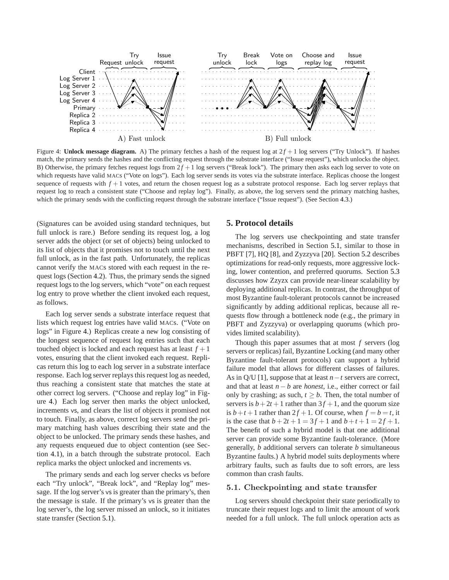<span id="page-6-1"></span>

Figure 4: **Unlock message diagram.** A) The primary fetches a hash of the request log at  $2f + 1$  log servers ("Try Unlock"). If hashes match, the primary sends the hashes and the conflicting request through the substrate interface ("Issue request"), which unlocks the object. B) Otherwise, the primary fetches request logs from  $2f + 1$  log servers ("Break lock"). The primary then asks each log server to vote on which requests have valid MACs ("Vote on logs"). Each log server sends its votes via the substrate interface. Replicas choose the longest sequence of requests with  $f + 1$  votes, and return the chosen request log as a substrate protocol response. Each log server replays that request log to reach a consistent state ("Choose and replay log"). Finally, as above, the log servers send the primary matching hashes, which the primary sends with the conflicting request through the substrate interface ("Issue request"). (See Section [4.3.](#page-5-0))

(Signatures can be avoided using standard techniques, but full unlock is rare.) Before sending its request log, a log server adds the object (or set of objects) being unlocked to its list of objects that it promises not to touch until the next full unlock, as in the fast path. Unfortunately, the replicas cannot verify the MACs stored with each request in the request logs (Section [4.2\)](#page-4-2). Thus, the primary sends the signed request logs to the log servers, which "vote" on each request log entry to prove whether the client invoked each request, as follows.

Each log server sends a substrate interface request that lists which request log entries have valid MACs. ("Vote on logs" in Figure [4.](#page-6-1)) Replicas create a new log consisting of the longest sequence of request log entries such that each touched object is locked and each request has at least  $f + 1$ votes, ensuring that the client invoked each request. Replicas return this log to each log server in a substrate interface response. Each log server replays this request log as needed, thus reaching a consistent state that matches the state at other correct log servers. ("Choose and replay log" in Figure [4.](#page-6-1)) Each log server then marks the object unlocked, increments vs, and clears the list of objects it promised not to touch. Finally, as above, correct log servers send the primary matching hash values describing their state and the object to be unlocked. The primary sends these hashes, and any requests enqueued due to object contention (see Section [4.1\)](#page-4-1), in a batch through the substrate protocol. Each replica marks the object unlocked and increments vs.

The primary sends and each log server checks vs before each "Try unlock", "Break lock", and "Replay log" message. If the log server's vs is greater than the primary's, then the message is stale. If the primary's vs is greater than the log server's, the log server missed an unlock, so it initiates state transfer (Section [5.1\)](#page-6-0).

#### **5. Protocol details**

The log servers use checkpointing and state transfer mechanisms, described in Section [5.1,](#page-6-0) similar to those in PBFT [\[7\]](#page-10-5), HQ [\[8\]](#page-10-7), and Zyzzyva [\[20\]](#page-10-1). Section [5.2](#page-7-1) describes optimizations for read-only requests, more aggressive locking, lower contention, and preferred quorums. Section [5.3](#page-7-2) discusses how Zzyzx can provide near-linear scalability by deploying additional replicas. In contrast, the throughput of most Byzantine fault-tolerant protocols cannot be increased significantly by adding additional replicas, because all requests flow through a bottleneck node (e.g., the primary in PBFT and Zyzzyva) or overlapping quorums (which provides limited scalability).

Though this paper assumes that at most *f* servers (log servers or replicas) fail, Byzantine Locking (and many other Byzantine fault-tolerant protocols) can support a hybrid failure model that allows for different classes of failures. As in Q/U [\[1\]](#page-10-4), suppose that at least *n*−*t* servers are correct, and that at least  $n - b$  are *honest*, i.e., either correct or fail only by crashing; as such,  $t \geq b$ . Then, the total number of servers is  $b+2t+1$  rather than  $3f+1$ , and the quorum size is  $b+t+1$  rather than  $2f+1$ . Of course, when  $f = b = t$ , it is the case that  $b + 2t + 1 = 3f + 1$  and  $b + t + 1 = 2f + 1$ . The benefit of such a hybrid model is that one additional server can provide some Byzantine fault-tolerance. (More generally, *b* additional servers can tolerate *b* simultaneous Byzantine faults.) A hybrid model suits deployments where arbitrary faults, such as faults due to soft errors, are less common than crash faults.

#### <span id="page-6-0"></span>5.1. Checkpointing and state transfer

Log servers should checkpoint their state periodically to truncate their request logs and to limit the amount of work needed for a full unlock. The full unlock operation acts as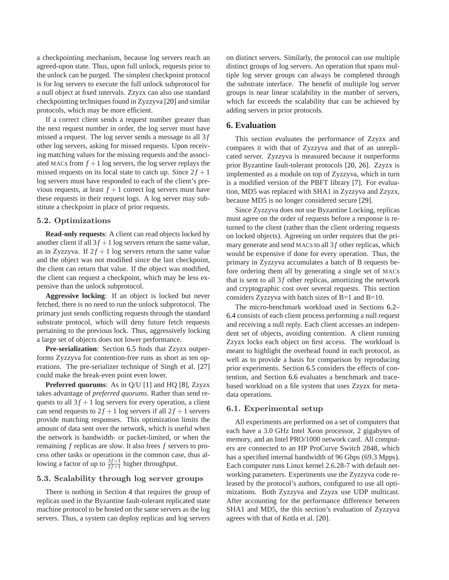a checkpointing mechanism, because log servers reach an agreed-upon state. Thus, upon full unlock, requests prior to the unlock can be purged. The simplest checkpoint protocol is for log servers to execute the full unlock subprotocol for a null object at fixed intervals. Zzyzx can also use standard checkpointing techniques found in Zyzzyva [\[20\]](#page-10-1) and similar protocols, which may be more efficient.

If a correct client sends a request number greater than the next request number in order, the log server must have missed a request. The log server sends a message to all 3f other log servers, asking for missed requests. Upon receiving matching values for the missing requests and the associated MACs from  $f + 1$  log servers, the log server replays the missed requests on its local state to catch up. Since  $2f + 1$ log servers must have responded to each of the client's previous requests, at least  $f + 1$  correct log servers must have these requests in their request logs. A log server may substitute a checkpoint in place of prior requests.

## <span id="page-7-1"></span>5.2. Optimizations

**Read-only requests**: A client can read objects locked by another client if all  $3f + 1$  log servers return the same value, as in Zyzzyva. If  $2f + 1$  log servers return the same value and the object was not modified since the last checkpoint, the client can return that value. If the object was modified, the client can request a checkpoint, which may be less expensive than the unlock subprotocol.

**Aggressive locking**: If an object is locked but never fetched, there is no need to run the unlock subprotocol. The primary just sends conflicting requests through the standard substrate protocol, which will deny future fetch requests pertaining to the previous lock. Thus, aggressively locking a large set of objects does not lower performance.

**Pre-serialization**: Section [6.5](#page-8-0) finds that Zzyzx outperforms Zyzzyva for contention-free runs as short as ten operations. The pre-serializer technique of Singh et al. [\[27\]](#page-10-15) could make the break-even point even lower.

**Preferred quorums**: As in Q/U [\[1\]](#page-10-4) and HQ [\[8\]](#page-10-7), Zzyzx takes advantage of *preferred quorums*. Rather than send requests to all  $3f + 1$  log servers for every operation, a client can send requests to  $2f + 1$  log servers if all  $2f + 1$  servers provide matching responses. This optimization limits the amount of data sent over the network, which is useful when the network is bandwidth- or packet-limited, or when the remaining *f* replicas are slow. It also frees *f* servers to process other tasks or operations in the common case, thus allowing a factor of up to  $\frac{3f+1}{2f+1}$  higher throughput.

#### <span id="page-7-2"></span>5.3. Scalability through log server groups

There is nothing in Section [4](#page-3-0) that requires the group of replicas used in the Byzantine fault-tolerant replicated state machine protocol to be hosted on the same servers as the log servers. Thus, a system can deploy replicas and log servers

on distinct servers. Similarly, the protocol can use multiple distinct groups of log servers. An operation that spans multiple log server groups can always be completed through the substrate interface. The benefit of multiple log server groups is near linear scalability in the number of servers, which far exceeds the scalability that can be achieved by adding servers in prior protocols.

#### <span id="page-7-0"></span>**6. Evaluation**

This section evaluates the performance of Zzyzx and compares it with that of Zyzzyva and that of an unreplicated server. Zyzzyva is measured because it outperforms prior Byzantine fault-tolerant protocols [\[20,](#page-10-1) [26\]](#page-10-8). Zzyzx is implemented as a module on top of Zyzzyva, which in turn is a modified version of the PBFT library [\[7\]](#page-10-5). For evaluation, MD5 was replaced with SHA1 in Zyzzyva and Zzyzx, because MD5 is no longer considered secure [\[29\]](#page-10-19).

Since Zyzzyva does not use Byzantine Locking, replicas must agree on the order of requests before a response is returned to the client (rather than the client ordering requests on locked objects). Agreeing on order requires that the primary generate and send MACs to all 3f other replicas, which would be expensive if done for every operation. Thus, the primary in Zyzzyva accumulates a batch of B requests before ordering them all by generating a single set of MACs that is sent to all  $3f$  other replicas, amortizing the network and cryptographic cost over several requests. This section considers Zyzzyva with batch sizes of B=1 and B=10.

The micro-benchmark workload used in Sections [6.2–](#page-8-1) [6.4](#page-8-2) consists of each client process performing a null request and receiving a null reply. Each client accesses an independent set of objects, avoiding contention. A client running Zzyzx locks each object on first access. The workload is meant to highlight the overhead found in each protocol, as well as to provide a basis for comparison by reproducing prior experiments. Section [6.5](#page-8-0) considers the effects of contention, and Section [6.6](#page-8-3) evaluates a benchmark and tracebased workload on a file system that uses Zzyzx for metadata operations.

#### 6.1. Experimental setup

All experiments are performed on a set of computers that each have a 3.0 GHz Intel Xeon processor, 2 gigabytes of memory, and an Intel PRO/1000 network card. All computers are connected to an HP ProCurve Switch 2848, which has a specified internal bandwidth of 96 Gbps (69.3 Mpps). Each computer runs Linux kernel 2.6.28-7 with default networking parameters. Experiments use the Zyzzyva code released by the protocol's authors, configured to use all optimizations. Both Zyzzyva and Zzyzx use UDP multicast. After accounting for the performance difference between SHA1 and MD5, the this section's evaluation of Zyzzyva agrees with that of Kotla et al. [\[20\]](#page-10-1).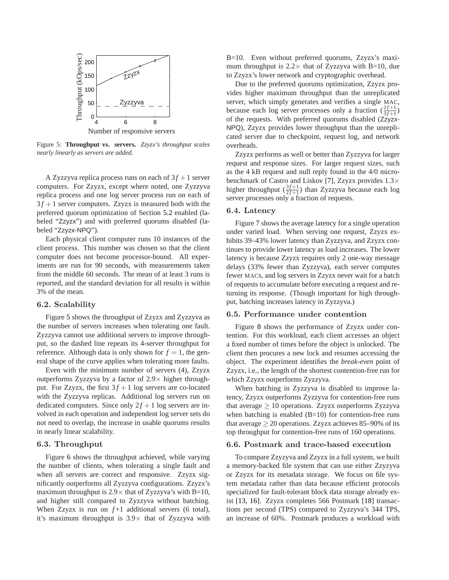<span id="page-8-4"></span>

Figure 5: **Throughput vs. servers.** *Zzyzx's throughput scales nearly linearly as servers are added.*

A Zyzzyva replica process runs on each of  $3f + 1$  server computers. For Zzyzx, except where noted, one Zyzzyva replica process and one log server process run on each of  $3f + 1$  server computers. Zzyzx is measured both with the preferred quorum optimization of Section [5.2](#page-7-1) enabled (labeled "Zzyzx") and with preferred quorums disabled (labeled "Zzyzx-NPQ").

Each physical client computer runs 10 instances of the client process. This number was chosen so that the client computer does not become processor-bound. All experiments are run for 90 seconds, with measurements taken from the middle 60 seconds. The mean of at least 3 runs is reported, and the standard deviation for all results is within 3% of the mean.

## <span id="page-8-1"></span>6.2. Scalability

Figure [5](#page-8-4) shows the throughput of Zzyzx and Zyzzyva as the number of servers increases when tolerating one fault. Zyzzyva cannot use additional servers to improve throughput, so the dashed line repeats its 4-server throughput for reference. Although data is only shown for  $f = 1$ , the general shape of the curve applies when tolerating more faults.

Even with the minimum number of servers (4), Zzyzx outperforms Zyzzyva by a factor of  $2.9\times$  higher throughput. For Zzyzx, the first  $3f + 1$  log servers are co-located with the Zyzzyva replicas. Additional log servers run on dedicated computers. Since only  $2f + 1$  log servers are involved in each operation and independent log server sets do not need to overlap, the increase in usable quorums results in nearly linear scalability.

#### 6.3. Throughput

Figure [6](#page-9-0) shows the throughput achieved, while varying the number of clients, when tolerating a single fault and when all servers are correct and responsive. Zzyzx significantly outperforms all Zyzzyva configurations. Zzyzx's maximum throughput is  $2.9 \times$  that of Zyzzyva's with B=10, and higher still compared to Zyzzyva without batching. When Zzyzx is run on  $f+1$  additional servers (6 total), it's maximum throughput is  $3.9\times$  that of Zyzzyva with

B=10. Even without preferred quorums, Zzyzx's maximum throughput is  $2.2 \times$  that of Zyzzyva with B=10, due to Zzyzx's lower network and cryptographic overhead.

Due to the preferred quorums optimization, Zzyzx provides higher maximum throughput than the unreplicated server, which simply generates and verifies a single MAC, because each log server processes only a fraction  $(\frac{2f+1}{3f+1})$ of the requests. With preferred quorums disabled (Zzyzx-NPQ), Zzyzx provides lower throughput than the unreplicated server due to checkpoint, request log, and network overheads.

Zzyzx performs as well or better than Zyzzyva for larger request and response sizes. For larger request sizes, such as the 4 kB request and null reply found in the 4/0 microbenchmark of Castro and Liskov [\[7\]](#page-10-5), Zzyzx provides 1.3× higher throughput  $(\frac{3f+1}{2f+1})$  than Zyzzyva because each log server processes only a fraction of requests.

#### <span id="page-8-2"></span>6.4. Latency

Figure [7](#page-9-0) shows the average latency for a single operation under varied load. When serving one request, Zzyzx exhibits 39–43% lower latency than Zyzzyva, and Zzyzx continues to provide lower latency as load increases. The lower latency is because Zzyzx requires only 2 one-way message delays (33% fewer than Zyzzyva), each server computes fewer MACs, and log servers in Zzyzx never wait for a batch of requests to accumulate before executing a request and returning its response. (Though important for high throughput, batching increases latency in Zyzzyva.)

#### <span id="page-8-0"></span>6.5. Performance under contention

Figure [8](#page-9-0) shows the performance of Zzyzx under contention. For this workload, each client accesses an object a fixed number of times before the object is unlocked. The client then procures a new lock and resumes accessing the object. The experiment identifies the *break-even* point of Zzyzx, i.e., the length of the shortest contention-free run for which Zzyzx outperforms Zyzzyva.

When batching in Zyzzyva is disabled to improve latency, Zzyzx outperforms Zyzzyva for contention-free runs that average  $\geq 10$  operations. Zzyzx outperforms Zyzzyva when batching is enabled  $(B=10)$  for contention-free runs that average  $\geq 20$  operations. Zzyzx achieves 85–90% of its top throughput for contention-free runs of 160 operations.

#### <span id="page-8-3"></span>6.6. Postmark and trace-based execution

To compare Zzyzyva and Zzyzx in a full system, we built a memory-backed file system that can use either Zzyzyva or Zzyzx for its metadata storage. We focus on file system metadata rather than data because efficient protocols specialized for fault-tolerant block data storage already exist [\[13,](#page-10-20) [16\]](#page-10-21). Zzyzx completes 566 Postmark [\[18\]](#page-10-22) transactions per second (TPS) compared to Zyzzyva's 344 TPS, an increase of 60%. Postmark produces a workload with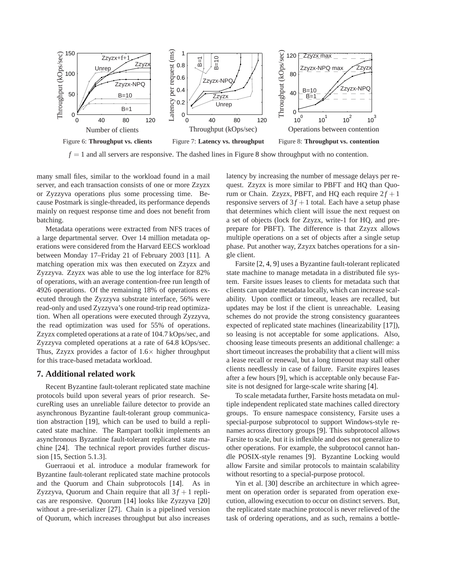<span id="page-9-0"></span>

 $f = 1$  and all servers are responsive. The dashed lines in Figure [8](#page-9-0) show throughput with no contention.

many small files, similar to the workload found in a mail server, and each transaction consists of one or more Zzyzx or Zyzzyva operations plus some processing time. Because Postmark is single-threaded, its performance depends mainly on request response time and does not benefit from batching.

Metadata operations were extracted from NFS traces of a large departmental server. Over 14 million metadata operations were considered from the Harvard EECS workload between Monday 17–Friday 21 of February 2003 [\[11\]](#page-10-6). A matching operation mix was then executed on Zzyzx and Zyzzyva. Zzyzx was able to use the log interface for 82% of operations, with an average contention-free run length of 4926 operations. Of the remaining 18% of operations executed through the Zyzzyva substrate interface, 56% were read-only and used Zyzzyva's one round-trip read optimization. When all operations were executed through Zyzzyva, the read optimization was used for 55% of operations. Zzyzx completed operations at a rate of 104.7 kOps/sec, and Zyzzyva completed operations at a rate of 64.8 kOps/sec. Thus, Zzyzx provides a factor of  $1.6\times$  higher throughput for this trace-based metadata workload.

#### **7. Additional related work**

Recent Byzantine fault-tolerant replicated state machine protocols build upon several years of prior research. SecureRing uses an unreliable failure detector to provide an asynchronous Byzantine fault-tolerant group communication abstraction [\[19\]](#page-10-16), which can be used to build a replicated state machine. The Rampart toolkit implements an asynchronous Byzantine fault-tolerant replicated state machine [\[24\]](#page-10-14). The technical report provides further discussion [\[15,](#page-10-13) Section 5.1.3].

Guerraoui et al. introduce a modular framework for Byzantine fault-tolerant replicated state machine protocols and the Quorum and Chain subprotocols [\[14\]](#page-10-23). As in Zyzzyva, Quorum and Chain require that all  $3f + 1$  replicas are responsive. Quorum [\[14\]](#page-10-23) looks like Zyzzyva [\[20\]](#page-10-1) without a pre-serializer [\[27\]](#page-10-15). Chain is a pipelined version of Quorum, which increases throughput but also increases latency by increasing the number of message delays per request. Zzyzx is more similar to PBFT and HQ than Quorum or Chain. Zzyzx, PBFT, and HQ each require  $2f + 1$ responsive servers of  $3f + 1$  total. Each have a setup phase that determines which client will issue the next request on a set of objects (lock for Zzyzx, write-1 for HQ, and preprepare for PBFT). The difference is that Zzyzx allows multiple operations on a set of objects after a single setup phase. Put another way, Zzyzx batches operations for a single client.

Farsite [\[2,](#page-10-17) [4,](#page-10-24) [9\]](#page-10-25) uses a Byzantine fault-tolerant replicated state machine to manage metadata in a distributed file system. Farsite issues leases to clients for metadata such that clients can update metadata locally, which can increase scalability. Upon conflict or timeout, leases are recalled, but updates may be lost if the client is unreachable. Leasing schemes do not provide the strong consistency guarantees expected of replicated state machines (linearizability [\[17\]](#page-10-12)), so leasing is not acceptable for some applications. Also, choosing lease timeouts presents an additional challenge: a short timeout increases the probability that a client will miss a lease recall or renewal, but a long timeout may stall other clients needlessly in case of failure. Farsite expires leases after a few hours [\[9\]](#page-10-25), which is acceptable only because Farsite is not designed for large-scale write sharing [\[4\]](#page-10-24).

To scale metadata further, Farsite hosts metadata on multiple independent replicated state machines called directory groups. To ensure namespace consistency, Farsite uses a special-purpose subprotocol to support Windows-style renames across directory groups [\[9\]](#page-10-25). This subprotocol allows Farsite to scale, but it is inflexible and does not generalize to other operations. For example, the subprotocol cannot handle POSIX-style renames [\[9\]](#page-10-25). Byzantine Locking would allow Farsite and similar protocols to maintain scalability without resorting to a special-purpose protocol.

Yin et al. [\[30\]](#page-10-26) describe an architecture in which agreement on operation order is separated from operation execution, allowing execution to occur on distinct servers. But, the replicated state machine protocol is never relieved of the task of ordering operations, and as such, remains a bottle-